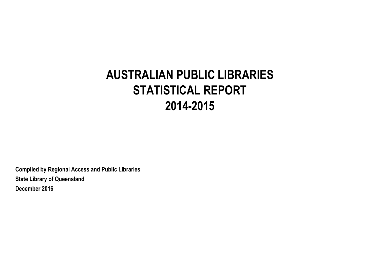# **AUSTRALIAN PUBLIC LIBRARIES STATISTICAL REPORT 2014-2015**

**Compiled by Regional Access and Public Libraries State Library of Queensland December 2016**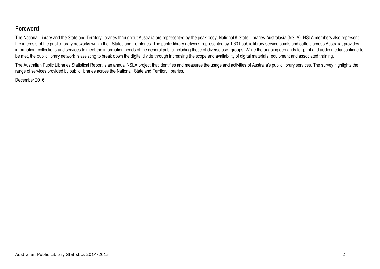# **Foreword**

The National Library and the State and Territory libraries throughout Australia are represented by the peak body, National & State Libraries Australasia (NSLA). NSLA members also represent the interests of the public library networks within their States and Territories. The public library network, represented by 1,631 public library service points and outlets across Australia, provides information, collections and services to meet the information needs of the general public including those of diverse user groups. While the ongoing demands for print and audio media continue to be met, the public library network is assisting to break down the digital divide through increasing the scope and availability of digital materials, equipment and associated training.

The Australian Public Libraries Statistical Report is an annual NSLA project that identifies and measures the usage and activities of Australia's public library services. The survey highlights the range of services provided by public libraries across the National, State and Territory libraries.

December 2016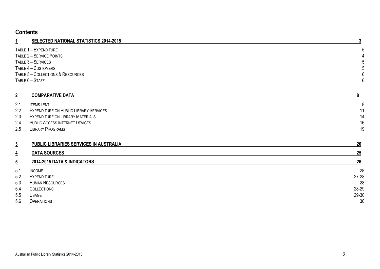# **Contents**

| <b>SELECTED NATIONAL STATISTICS 2014-2015</b><br>÷ |   |
|----------------------------------------------------|---|
| TABLE 1 - EXPENDITURE                              | 5 |
| TABLE 2 - SERVICE POINTS                           |   |
| TABLE 3 - SERVICES                                 | 5 |
| TABLE 4 - CUSTOMERS                                | 5 |
| TABLE 5 - COLLECTIONS & RESOURCES                  | 6 |
| TABLE 6 - STAFF                                    | 6 |
|                                                    |   |

| $\overline{2}$ | <b>COMPARATIVE DATA</b>                       |    |
|----------------|-----------------------------------------------|----|
| 2.1            | <b>ITEMS LENT</b>                             |    |
| 2.2            | <b>EXPENDITURE ON PUBLIC LIBRARY SERVICES</b> | 11 |
| 2.3            | <b>EXPENDITURE ON LIBRARY MATERIALS</b>       | 14 |
| 2.4            | <b>PUBLIC ACCESS INTERNET DEVICES</b>         | 16 |
| 2.5            | LIBRARY PROGRAMS                              | 19 |

| $\overline{3}$ | PUBLIC LIBRARIES SERVICES IN AUSTRALIA | 20        |
|----------------|----------------------------------------|-----------|
| $\overline{4}$ | <b>DATA SOURCES</b>                    | 25        |
| $\overline{5}$ | 2014-2015 DATA & INDICATORS            | 26        |
| 5.1            | <b>INCOME</b>                          | 28        |
| 5.2            | <b>EXPENDITURE</b>                     | $27 - 28$ |
| 5.3            | <b>HUMAN RESOURCES</b>                 | 28        |
| 5.4            | <b>COLLECTIONS</b>                     | 28-29     |
| 5.5            | <b>USAGE</b>                           | 29-30     |
| 5.6            | <b>OPERATIONS</b>                      | 30        |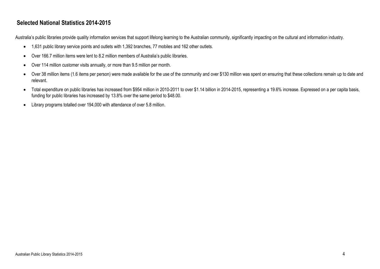# **Selected National Statistics 2014-2015**

Australia's public libraries provide quality information services that support lifelong learning to the Australian community, significantly impacting on the cultural and information industry.

- 1,631 public library service points and outlets with 1,392 branches, 77 mobiles and 162 other outlets.
- Over 166.7 million items were lent to 8.2 million members of Australia's public libraries.
- Over 114 million customer visits annually, or more than 9.5 million per month.
- Over 38 million items (1.6 items per person) were made available for the use of the community and over \$130 million was spent on ensuring that these collections remain up to date and relevant.
- Total expenditure on public libraries has increased from \$954 million in 2010-2011 to over \$1.14 billion in 2014-2015, representing a 19.6% increase. Expressed on a per capita basis, funding for public libraries has increased by 13.8% over the same period to \$48.00.
- Library programs totalled over 194,000 with attendance of over 5.8 million.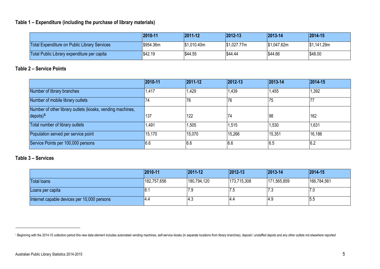#### **Table 1 – Expenditure (including the purchase of library materials)**

|                                              | 2010-11   | $ 2011 - 12 $ | 2012-13     | 2013-14     | $ 2014 - 15$ |
|----------------------------------------------|-----------|---------------|-------------|-------------|--------------|
| Total Expenditure on Public Library Services | \$954.36m | S1.010.40m    | \$1,027.77m | \$1,047.62m | \$1,141.29m  |
| Total Public Library expenditure per capita  | \$42.19   | \$44.55       | \$44.44     | \$44.66     | \$48.00      |

#### **Table 2 – Service Points**

|                                                            | 2010-11 | 2011-12 | $ 2012 - 13 $ | 2013-14 | 2014-15 |
|------------------------------------------------------------|---------|---------|---------------|---------|---------|
| Number of library branches                                 | 1,417   | 1,429   | 1,439         | 1,455   | 1,392   |
| Number of mobile library outlets                           | 74      | 76      | 76            | 75      | 77      |
| Number of other library outlets (kiosks, vending machines, |         |         |               |         |         |
| $depots)^1$                                                | 137     | 122     | 74            | 98      | 162     |
| Total number of library outlets                            | 1,491   | ,505    | 1,515         | 1,530   | 1,631   |
| Population served per service point                        | 15,170  | 15,070  | 15,266        | 15,351  | 16,186  |
| Service Points per 100,000 persons                         | 6.6     | 6.6     | 6.6           | 6.5     | 6.2     |

#### **Table 3 – Services**

l

|                                             | 2010-11     | 2011-12     | $ 2012 - 13 $ | $ 2013 - 14$ | $ 2014 - 15 $ |
|---------------------------------------------|-------------|-------------|---------------|--------------|---------------|
| <b>Total loans</b>                          | 182,757,656 | 180,794,120 | 173,715,308   | 171,565,859  | 166,784,561   |
| Loans per capita                            | ΙO.         | / .৬        | ن.            | ن. ا         | 17.0          |
| Internet capable devices per 10,000 persons | 4.4         | l4.3        | 14.4          | ′4.೪         | 5.5           |

<sup>&</sup>lt;sup>1</sup> Beginning with the 2014-15 collection period this new data element includes automated vending machines, self-service kiosks (in separate locations from library branches), deposit / unstaffed depots and any other outlet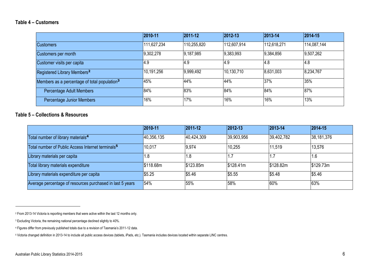#### **Table 4 – Customers**

|                                                          | 2010-11     | 2011-12           | 2012-13     | $ 2013 - 14 $ | $ 2014 - 15 $ |
|----------------------------------------------------------|-------------|-------------------|-------------|---------------|---------------|
| <b>Customers</b>                                         | 111,627,234 | 110,255,820       | 112,607,914 | 112,618,271   | 114,087,144   |
| Customers per month                                      | 9,302,278   | 9,187,985         | 9,383,993   | 9,384,856     | 9,507,262     |
| Customer visits per capita                               | I4.9        | $\overline{14.9}$ | 4.9         | 4.8           | 4.8           |
| Registered Library Members <sup>2</sup>                  | 10,191,256  | 9,999,492         | 10,130,710  | 8,631,003     | 8,234,767     |
| Members as a percentage of total population <sup>3</sup> | 45%         | 44%               | 44%         | 37%           | 35%           |
| Percentage Adult Members                                 | 84%         | 83%               | 84%         | 84%           | 87%           |
| Percentage Junior Members                                | 16%         | 17%               | 16%         | 16%           | 13%           |

#### **Table 5 – Collections & Resources**

|                                                               | 2010-11    | 2011-12    | $ 2012 - 13 $ | 2013-14    | $ 2014 - 15 $ |
|---------------------------------------------------------------|------------|------------|---------------|------------|---------------|
| Total number of library materials <sup>4</sup>                | 40,356,135 | 40,424,309 | 39,903,956    | 39,402,782 | 38,181,376    |
| Total number of Public Access Internet terminals <sup>5</sup> | 10,017     | 9,974      | 10,255        | 11,519     | 13,576        |
| Library materials per capita                                  | . .8       | . 8        |               |            | 1.6           |
| Total library materials expenditure                           | \$118,68m  | \$123.85m  | \$128.41m     | \$128,82m  | \$129.73m     |
| Library materials expenditure per capita                      | \$5.25     | \$5.46     | \$5.55        | \$5.48     | \$5.46        |
| Average percentage of resources purchased in last 5 years     | 54%        | 55%        | 58%           | 60%        | 63%           |

 $\overline{\phantom{a}}$ 

<sup>2</sup> From 2013-14 Victoria is reporting members that were active within the last 12 months only.

<sup>&</sup>lt;sup>3</sup> Excluding Victoria, the remaining national percentage declined slightly to 40%.

<sup>4</sup> Figures differ from previously published totals due to a revision of Tasmania's 2011-12 data.

<sup>5</sup> Victoria changed definition in 2013-14 to include all public access devices (tablets, iPads, etc.). Tasmania includes devices located within separate LINC centres.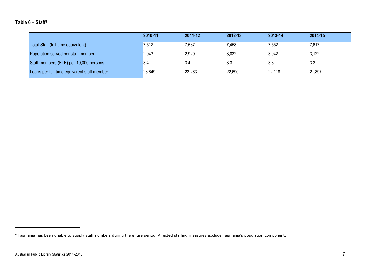#### **Table 6 – Staff<sup>6</sup>**

|                                             | 2010-11 | $ 2011 - 12 $ | 2012-13 | 2013-14 | 2014-15 |
|---------------------------------------------|---------|---------------|---------|---------|---------|
| Total Staff (full time equivalent)          | 7,512   | 7,567         | 7,458   | 7,552   | 7,617   |
| Population served per staff member          | 2,943   | 2,929         | 3,032   | 3,042   | 3,122   |
| Staff members (FTE) per 10,000 persons.     | 3.4     | 13.4          | 3.3     | 3.3     | 3.2     |
| Loans per full-time equivalent staff member | 23,649  | 23,263        | 22,690  | 22,118  | 21,897  |

 $\overline{\phantom{a}}$ 

<sup>&</sup>lt;sup>6</sup> Tasmania has been unable to supply staff numbers during the entire period. Affected staffing measures exclude Tasmania's population component.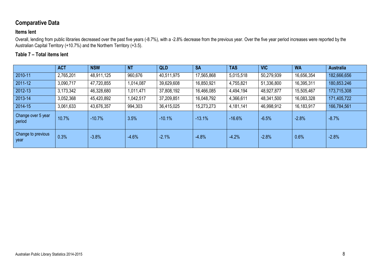# **Comparative Data**

#### **Items lent**

Overall, lending from public libraries decreased over the past five years (-8.7%), with a -2.8% decrease from the previous year. Over the five year period increases were reported by the Australian Capital Territory (+10.7%) and the Northern Territory (+3.5).

### **Table 7 – Total items lent**

|                              | <b>ACT</b> | <b>NSW</b> | <b>NT</b> | <b>QLD</b> | <b>SA</b>  | <b>TAS</b> | <b>VIC</b> | <b>WA</b>  | <b>Australia</b> |
|------------------------------|------------|------------|-----------|------------|------------|------------|------------|------------|------------------|
| 2010-11                      | 2,765,201  | 48,911,125 | 960,676   | 40,511,975 | 17,565,868 | 5,015,518  | 50,279,939 | 16,656,354 | 182,666,656      |
| 2011-12                      | 3,090,717  | 47,720,855 | 1,014,087 | 39,629,608 | 16,850,921 | 4,755,821  | 51,336,800 | 16,395,311 | 180,853.246      |
| 2012-13                      | 3,173,342  | 46,328,680 | 1,011,471 | 37,808,192 | 16,466,085 | 4,494,194  | 48,927,877 | 15,505,467 | 173,715,308      |
| 2013-14                      | 3,052,368  | 45,420,892 | ,042,517  | 37,209,851 | 16,048,792 | 4,366,611  | 48,341,500 | 16,083,328 | 171,405,722      |
| 2014-15                      | 3,061,633  | 43,676,357 | 994,303   | 36,415,025 | 15,273,273 | 4,181,141  | 46,998,912 | 16,183,917 | 166,784,561      |
| Change over 5 year<br>period | 10.7%      | $-10.7%$   | 3.5%      | $-10.1%$   | $-13.1%$   | $-16.6%$   | $-6.5%$    | $-2.8%$    | $-8.7%$          |
| Change to previous<br>year   | 0.3%       | $-3.8%$    | $-4.6%$   | $-2.1%$    | $-4.8%$    | $-4.2%$    | $-2.8%$    | 0.6%       | $-2.8%$          |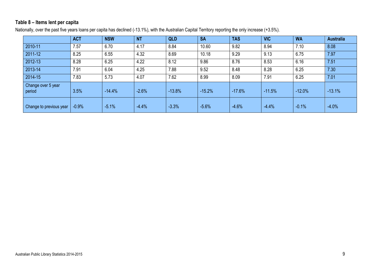#### **Table 8 – Items lent per capita**

Nationally, over the past five years loans per capita has declined (-13.1%), with the Australian Capital Territory reporting the only increase (+3.5%).

|                              | <b>ACT</b> | <b>NSW</b> | <b>NT</b> | <b>QLD</b> | <b>SA</b> | <b>TAS</b> | <b>VIC</b> | <b>WA</b> | <b>Australia</b> |
|------------------------------|------------|------------|-----------|------------|-----------|------------|------------|-----------|------------------|
| 2010-11                      | 7.57       | 6.70       | 4.17      | 8.84       | 10.60     | 9.82       | 8.94       | 7.10      | 8.08             |
| 2011-12                      | 8.25       | 6.55       | 4.32      | 8.69       | 10.18     | 9.29       | 9.13       | 6.75      | 7.97             |
| 2012-13                      | 8.28       | 6.25       | 4.22      | 8.12       | 9.86      | 8.76       | 8.53       | 6.16      | 7.51             |
| 2013-14                      | 7.91       | 6.04       | 4.25      | 7.88       | 9.52      | 8.48       | 8.28       | 6.25      | 7.30             |
| 2014-15                      | 7.83       | 5.73       | 4.07      | 7.62       | 8.99      | 8.09       | 7.91       | 6.25      | 7.01             |
| Change over 5 year<br>period | 3.5%       | $-14.4%$   | $-2.6%$   | $-13.8%$   | $-15.2%$  | $-17.6%$   | $-11.5%$   | $-12.0%$  | $-13.1%$         |
| Change to previous year      | $-0.9%$    | $-5.1%$    | $-4.4%$   | $-3.3%$    | $-5.6%$   | $-4.6%$    | $-4.4%$    | $-0.1%$   | $-4.0%$          |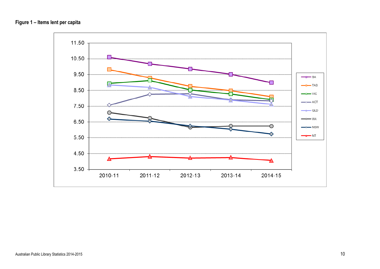

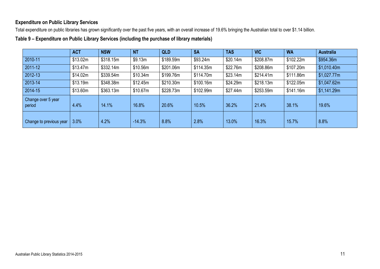#### **Expenditure on Public Library Services**

Total expenditure on public libraries has grown significantly over the past five years, with an overall increase of 19.6% bringing the Australian total to over \$1.14 billion.

**Table 9 – Expenditure on Public Library Services (including the purchase of library materials)**

|                              | <b>ACT</b> | <b>NSW</b> | <b>NT</b> | <b>QLD</b> | <b>SA</b> | <b>TAS</b> | <b>VIC</b> | <b>WA</b> | <b>Australia</b> |
|------------------------------|------------|------------|-----------|------------|-----------|------------|------------|-----------|------------------|
| 2010-11                      | \$13.02m   | \$318.15m  | \$9.13m   | \$189.59m  | \$93.24m  | \$20.14m   | \$208.87m  | \$102.22m | \$954.36m        |
| $ 2011-12 $                  | \$13.47m   | \$332.14m  | \$10.56m  | \$201.06m  | \$114.35m | \$22.76m   | \$208.86m  | \$107.20m | \$1,010.40m      |
| 2012-13                      | \$14.02m   | \$339.54m  | \$10.34m  | \$199.76m  | \$114.70m | \$23.14m   | \$214.41m  | \$111.86m | \$1,027.77m      |
| 2013-14                      | \$13.19m   | \$348.38m  | \$12.45m  | \$210.30m  | \$100.16m | \$24.29m   | \$218.13m  | \$122.05m | \$1,047.62m      |
| 2014-15                      | \$13.60m   | \$363.13m  | \$10.67m  | \$228.73m  | \$102.99m | \$27.44m   | \$253.59m  | \$141.16m | \$1,141.29m      |
| Change over 5 year<br>period | 4.4%       | 14.1%      | 16.8%     | 20.6%      | 10.5%     | 36.2%      | 21.4%      | 38.1%     | 19.6%            |
| Change to previous year      | 3.0%       | 4.2%       | $-14.3%$  | 8.8%       | 2.8%      | 13.0%      | 16.3%      | 15.7%     | 8.8%             |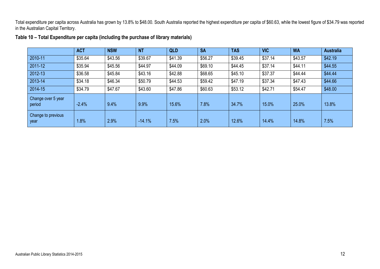Total expenditure per capita across Australia has grown by 13.8% to \$48.00. South Australia reported the highest expenditure per capita of \$60.63, while the lowest figure of \$34.79 was reported in the Australian Capital Territory.

|                              | <b>ACT</b> | <b>NSW</b> | <b>NT</b> | <b>QLD</b> | <b>SA</b> | <b>TAS</b> | <b>VIC</b> | <b>WA</b> | <b>Australia</b> |
|------------------------------|------------|------------|-----------|------------|-----------|------------|------------|-----------|------------------|
| 2010-11                      | \$35.64    | \$43.56    | \$39.67   | \$41.39    | \$56.27   | \$39.45    | \$37.14    | \$43.57   | \$42.19          |
| 2011-12                      | \$35.94    | \$45.56    | \$44.97   | \$44.09    | \$69.10   | \$44.45    | \$37.14    | \$44.11   | \$44.55          |
| 2012-13                      | \$36.58    | \$45.84    | \$43.16   | \$42.88    | \$68.65   | \$45.10    | \$37.37    | \$44.44   | \$44.44          |
| 2013-14                      | \$34.18    | \$46.34    | \$50.79   | \$44.53    | \$59.42   | \$47.19    | \$37.34    | \$47.43   | \$44.66          |
| 2014-15                      | \$34.79    | \$47.67    | \$43.60   | \$47.86    | \$60.63   | \$53.12    | \$42.71    | \$54.47   | \$48.00          |
| Change over 5 year<br>period | $-2.4%$    | 9.4%       | 9.9%      | 15.6%      | 7.8%      | 34.7%      | 15.0%      | 25.0%     | 13.8%            |
| Change to previous<br>year   | 1.8%       | 2.9%       | $-14.1%$  | 7.5%       | 2.0%      | 12.6%      | 14.4%      | 14.8%     | 7.5%             |

**Table 10 – Total Expenditure per capita (including the purchase of library materials)**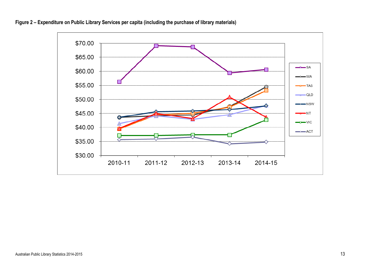

**Figure 2 – Expenditure on Public Library Services per capita (including the purchase of library materials)**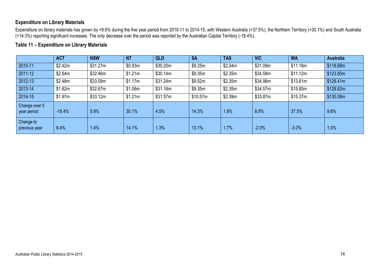#### **Expenditure on Library Materials**

Expenditure on library materials has grown by +9.6% during the five year period from 2010-11 to 2014-15, with Western Australia (+37.5%), the Northern Territory (+30.1%) and South Australia (+14.3%) reporting significant increases. The only decrease over the period was reported by the Australian Capital Territory (-18.4%).

#### **Table 11 – Expenditure on Library Materials**

|                              | <b>ACT</b> | <b>NSW</b> | <b>NT</b> | <b>QLD</b> | <b>SA</b> | <b>TAS</b> | <b>VIC</b> | <b>WA</b> | <b>Australia</b> |
|------------------------------|------------|------------|-----------|------------|-----------|------------|------------|-----------|------------------|
| 2010-11                      | \$2.42m    | \$31.27m   | \$0.93m   | \$30.20m   | \$9.25m   | \$2.34m    | \$31.09m   | \$11.18m  | \$118.68m        |
| 2011-12                      | \$2.64m    | \$32.46m   | \$1.21m   | \$30.14m   | \$9.35m   | \$2.35m    | \$34.58m   | \$11.12m  | \$123.85m        |
| 2012-13                      | \$2.48m    | \$33.09m   | \$1.17m   | \$31.24m   | \$9.52m   | \$2.35m    | \$34.96m   | \$13.61m  | \$128.41m        |
| 2013-14                      | \$1.82m    | \$32.67m   | \$1.06m   | \$31.16m   | \$9.35m   | \$2.35m    | \$34.57m   | \$15.85m  | \$128.82m        |
| 2014-15                      | \$1.97m    | \$33.12m   | \$1.21m   | \$31.57m   | \$10.57m  | \$2.39m    | \$33.87m   | \$15.37m  | \$130.08m        |
| Change over 5<br>year period | $-18.4%$   | 5.9%       | 30.1%     | 4.5%       | 14.3%     | 1.9%       | 8.9%       | 37.5%     | 9.6%             |
| Change to<br>previous year   | 8.4%       | 1.4%       | 14.1%     | 1.3%       | 13.1%     | 1.7%       | $-2.0%$    | $-3.0%$   | 1.0%             |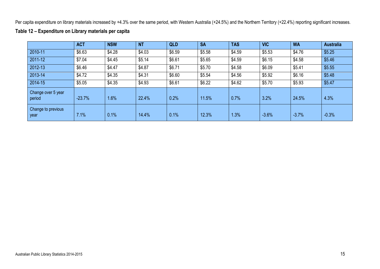Per capita expenditure on library materials increased by +4.3% over the same period, with Western Australia (+24.5%) and the Northern Territory (+22.4%) reporting significant increases.

|                              | <b>ACT</b> | <b>NSW</b> | <b>NT</b> | <b>QLD</b> | <b>SA</b> | <b>TAS</b> | <b>VIC</b> | <b>WA</b> | <b>Australia</b> |
|------------------------------|------------|------------|-----------|------------|-----------|------------|------------|-----------|------------------|
| 2010-11                      | \$6.63     | \$4.28     | \$4.03    | \$6.59     | \$5.58    | \$4.59     | \$5.53     | \$4.76    | \$5.25           |
| 2011-12                      | \$7.04     | \$4.45     | \$5.14    | \$6.61     | \$5.65    | \$4.59     | \$6.15     | \$4.58    | \$5.46           |
| 2012-13                      | \$6.46     | \$4.47     | \$4.87    | \$6.71     | \$5.70    | \$4.58     | \$6.09     | \$5.41    | \$5.55           |
| 2013-14                      | \$4.72     | \$4.35     | \$4.31    | \$6.60     | \$5.54    | \$4.56     | \$5.92     | \$6.16    | \$5.48           |
| 2014-15                      | \$5.05     | \$4.35     | \$4.93    | \$6.61     | \$6.22    | \$4.62     | \$5.70     | \$5.93    | \$5.47           |
| Change over 5 year<br>period | $-23.7%$   | 1.6%       | 22.4%     | 0.2%       | 11.5%     | 0.7%       | 3.2%       | 24.5%     | 4.3%             |
| Change to previous<br>year   | 7.1%       | 0.1%       | 14.4%     | 0.1%       | 12.3%     | 1.3%       | $-3.6%$    | $-3.7%$   | $-0.3%$          |

#### **Table 12 – Expenditure on Library materials per capita**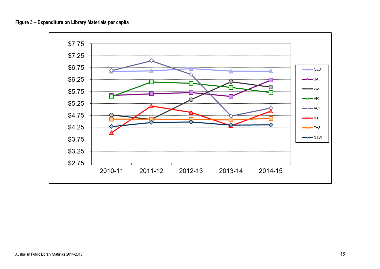

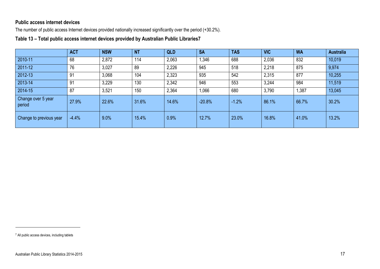#### **Public access internet devices**

The number of public access Internet devices provided nationally increased significantly over the period (+30.2%).

**Table 13 – Total public access internet devices provided by Australian Public Libraries7**

|                              | <b>ACT</b> | <b>NSW</b> | <b>NT</b> | <b>QLD</b> | <b>SA</b> | <b>TAS</b> | <b>VIC</b> | <b>WA</b> | <b>Australia</b> |
|------------------------------|------------|------------|-----------|------------|-----------|------------|------------|-----------|------------------|
| 2010-11                      | 68         | 2,872      | 114       | 2,063      | 1,346     | 688        | 2,036      | 832       | 10,019           |
| 2011-12                      | 76         | 3,027      | 89        | 2,226      | 945       | 518        | 2,218      | 875       | 9,974            |
| 2012-13                      | 91         | 3,068      | 104       | 2,323      | 935       | 542        | 2,315      | 877       | 10,255           |
| 2013-14                      | 91         | 3,229      | 130       | 2,342      | 946       | 553        | 3,244      | 984       | 11,519           |
| 2014-15                      | 87         | 3,521      | 150       | 2,364      | 1,066     | 680        | 3,790      | ,387      | 13,045           |
| Change over 5 year<br>period | 27.9%      | 22.6%      | 31.6%     | 14.6%      | $-20.8%$  | $-1.2%$    | 86.1%      | 66.7%     | 30.2%            |
| Change to previous year      | $-4.4%$    | 9.0%       | 15.4%     | 0.9%       | 12.7%     | 23.0%      | 16.8%      | 41.0%     | 13.2%            |

l

<sup>7</sup> All public access devices, including tablets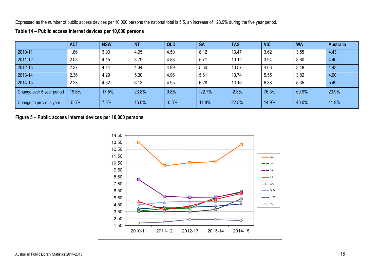Expressed as the number of public access devices per 10,000 persons the national total is 5.5, an increase of +23.9% during the five year period.

|                           | <b>ACT</b> | <b>NSW</b> | <b>NT</b> | <b>QLD</b> | <b>SA</b> | <b>TAS</b> | <b>VIC</b> | <b>WA</b> | <b>Australia</b> |
|---------------------------|------------|------------|-----------|------------|-----------|------------|------------|-----------|------------------|
| 2010-11                   | .86        | 3.93       | 4.95      | 4.50       | 8.12      | 13.47      | 3.62       | 3.55      | 4.43             |
| 2011-12                   | 2.03       | 4.15       | 3.79      | 4.88       | 5.71      | 10.12      | 3.94       | 3.60      | 4.40             |
| 2012-13                   | 2.37       | 4.14       | 4.34      | 4.99       | 5.60      | 10.57      | 4.03       | 3.48      | 4.43             |
| 2013-14                   | 2.36       | 4.29       | 5.30      | 4.96       | 5.61      | 10.74      | 5.55       | 3.82      | 4.90             |
| 2014-15                   | 2.23       | 4.62       | 6.13      | 4.95       | 6.28      | 13.16      | 6.38       | 5.35      | 5.49             |
| Change over 5 year period | 19.6%      | 17.5%      | 23.8%     | 9.8%       | $-22.7%$  | $-2.3%$    | 76.3%      | 50.9%     | 23.9%            |
| Change to previous year   | $-5.6%$    | 7.6%       | 15.6%     | $-0.3%$    | 11.8%     | 22.5%      | 14.9%      | 40.0%     | 11.9%            |

#### **Table 14 – Public access internet devices per 10,000 persons**

#### **Figure 5 – Public access internet devices per 10,000 persons**

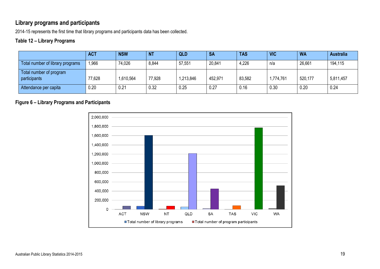# **Library programs and participants**

2014-15 represents the first time that library programs and participants data has been collected.

## **Table 12 – Library Programs**

|                                         | <b>ACT</b> | <b>NSW</b> | <b>NT</b> | <b>QLD</b> | <b>SA</b> | <b>TAS</b> | <b>VIC</b> | <b>WA</b> | <b>Australia</b> |
|-----------------------------------------|------------|------------|-----------|------------|-----------|------------|------------|-----------|------------------|
| Total number of library programs        | 1,966      | 74,026     | 8,844     | 57,551     | 20,841    | 4,226      | n/a        | 26,661    | 194,115          |
| Total number of program<br>participants | 77,628     | 1,610,564  | 77,928    | 1,213,846  | 452,971   | 83,582     | 1,774,761  | 520,177   | 5,811,457        |
| Attendance per capita                   | 0.20       | 0.21       | 0.32      | 0.25       | 0.27      | 0.16       | 0.30       | 0.20      | 0.24             |

#### **Figure 6 – Library Programs and Participants**

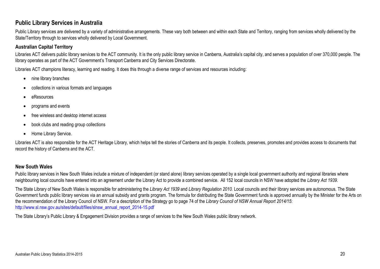### **Public Library Services in Australia**

Public Library services are delivered by a variety of administrative arrangements. These vary both between and within each State and Territory, ranging from services wholly delivered by the State/Territory through to services wholly delivered by Local Government.

#### **Australian Capital Territory**

Libraries ACT delivers public library services to the ACT community. It is the only public library service in Canberra, Australia's capital city, and serves a population of over 370,000 people. The library operates as part of the ACT Government's Transport Canberra and City Services Directorate.

Libraries ACT champions literacy, learning and reading. It does this through a diverse range of services and resources including:

- nine library branches
- collections in various formats and languages
- eResources
- programs and events
- free wireless and desktop internet access
- book clubs and reading group collections
- Home Library Service.

Libraries ACT is also responsible for the ACT Heritage Library, which helps tell the stories of Canberra and its people. It collects, preserves, promotes and provides access to documents that record the history of Canberra and the ACT.

#### **New South Wales**

Public library services in New South Wales include a mixture of independent (or stand alone) library services operated by a single local government authority and regional libraries where neighbouring local councils have entered into an agreement under the Library Act to provide a combined service. All 152 local councils in NSW have adopted the *Library Act 1939*.

The State Library of New South Wales is responsible for administering the *Library Act 1939* and *Library Regulation 2010.* Local councils and their library services are autonomous. The State Government funds public library services via an annual subsidy and grants program. The formula for distributing the State Government funds is approved annually by the Minister for the Arts on the recommendation of the Library Council of NSW. For a description of the Strategy go to page 74 of the *Library Council of NSW Annual Report 2014/15*: http://www.sl.nsw.gov.au/sites/default/files/slnsw\_annual\_report\_2014-15.pdf

The State Library's Public Library & Engagement Division provides a range of services to the New South Wales public library network.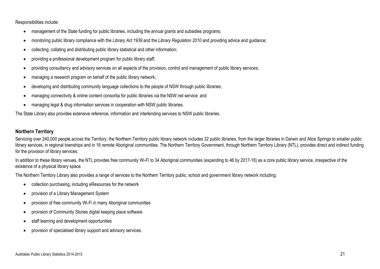Responsibilities include:

- management of the State funding for public libraries, including the annual grants and subsidies programs;
- monitoring public library compliance with the *Library Act 1939* and the *Library Regulation 2010* and providing advice and guidance;
- collecting, collating and distributing public library statistical and other information;
- providing a professional development program for public library staff;
- providing consultancy and advisory services on all aspects of the provision, control and management of public library services;
- managing a research program on behalf of the public library network;
- developing and distributing community language collections to the people of NSW through public libraries;
- managing connectivity & online content consortia for public libraries via the NSW.net service; and
- managing legal & drug information services in cooperation with NSW public libraries.

The State Library also provides extensive reference, information and interlending services to NSW public libraries.

#### **Northern Territory**

Servicing over 240,000 people across the Territory, the Northern Territory public library network includes 32 public libraries, from the larger libraries in Darwin and Alice Springs to smaller public library services, in regional townships and in 16 remote Aboriginal communities. The Northern Territory Government, through Northern Territory Library (NTL), provides direct and indirect funding for the provision of library services.

In addition to these library venues, the NTL provides free community Wi-Fi to 34 Aboriginal communities (expanding to 46 by 2017-18) as a core public library service, irrespective of the existence of a physical library space.

The Northern Territory Library also provides a range of services to the Northern Territory public, school and government library network including:

- collection purchasing, including eResources for the network
- provision of a Library Management System
- provision of free community Wi-Fi in many Aboriginal communities
- provision of Community Stories digital keeping place software
- staff learning and development opportunities
- provision of specialised library support and advisory services.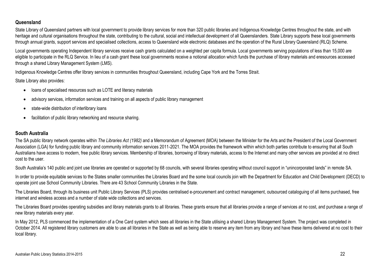#### **Queensland**

State Library of Queensland partners with local government to provide library services for more than 320 public libraries and Indigenous Knowledge Centres throughout the state, and with heritage and cultural organisations throughout the state, contributing to the cultural, social and intellectual development of all Queenslanders. State Library supports these local governments through annual grants, support services and specialised collections, access to Queensland wide electronic databases and the operation of the Rural Library Queensland (RLQ) Scheme.

Local governments operating Independent library services receive cash grants calculated on a weighted per capita formula. Local governments serving populations of less than 15,000 are eligible to participate in the RLQ Service. In lieu of a cash grant these local governments receive a notional allocation which funds the purchase of library materials and eresources accessed through a shared Library Management System (LMS).

Indigenous Knowledge Centres offer library services in communities throughout Queensland, including Cape York and the Torres Strait.

State Library also provides:

- loans of specialised resources such as LOTE and literacy materials
- advisory services, information services and training on all aspects of public library management
- state-wide distribution of interlibrary loans
- facilitation of public library networking and resource sharing.

#### **South Australia**

The SA public library network operates within *The Libraries Act (1982)* and a Memorandum of Agreement (MOA) between the Minister for the Arts and the President of the Local Government Association (LGA) for funding public library and community information services 2011-2021. The MOA provides the framework within which both parties contribute to ensuring that all South Australians have access to modern, free public library services. Membership of libraries, borrowing of library materials, access to the Internet and many other services are provided at no direct cost to the user.

South Australia's 140 public and joint use libraries are operated or supported by 68 councils, with several libraries operating without council support in "unincorporated lands" in remote SA.

In order to provide equitable services to the States smaller communities the Libraries Board and the some local councils join with the Department for Education and Child Development (DECD) to operate joint use School Community Libraries. There are 43 School Community Libraries in the State.

The Libraries Board, through its business unit Public Library Services (PLS) provides centralised e-procurement and contract management, outsourced cataloguing of all items purchased, free internet and wireless access and a number of state wide collections and services.

The Libraries Board provides operating subsidies and library materials grants to all libraries. These grants ensure that all libraries provide a range of services at no cost, and purchase a range of new library materials every year.

In May 2012, PLS commenced the implementation of a One Card system which sees all libraries in the State utilising a shared Library Management System. The project was completed in October 2014. All registered library customers are able to use all libraries in the State as well as being able to reserve any item from any library and have these items delivered at no cost to their local library.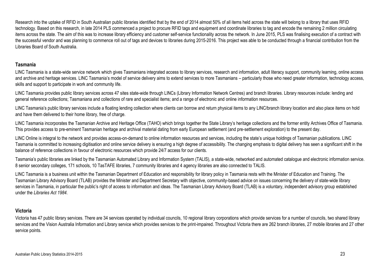Research into the uptake of RFID in South Australian public libraries identified that by the end of 2014 almost 50% of all items held across the state will belong to a library that uses RFID technology. Based on this research, in late 2014 PLS commenced a project to procure RFID tags and equipment and coordinate libraries to tag and encode the remaining 2 million circulating items across the state. The aim of this was to increase library efficiency and customer self-service functionality across the network. In June 2015, PLS was finalising execution of a contract with the successful vendor and was planning to commence roll out of tags and devices to libraries during 2015-2016. This project was able to be conducted through a financial contribution from the Libraries Board of South Australia.

#### **Tasmania**

LINC Tasmania is a state-wide service network which gives Tasmanians integrated access to library services, research and information, adult literacy support, community learning, online access and archive and heritage services. LINC Tasmania's model of service delivery aims to extend services to more Tasmanians – particularly those who need greater information, technology access, skills and support to participate in work and community life.

LINC Tasmania provides public library services across 47 sites state-wide through LINCs (Library Information Network Centres) and branch libraries. Library resources include: lending and general reference collections; Tasmaniana and collections of rare and specialist items; and a range of electronic and online information resources.

LINC Tasmania's public library services include a floating lending collection where clients can borrow and return physical items to any LINC/branch library location and also place items on hold and have them delivered to their home library, free of charge.

LINC Tasmania incorporates the Tasmanian Archive and Heritage Office (TAHO) which brings together the State Library's heritage collections and the former entity Archives Office of Tasmania. This provides access to pre-eminent Tasmanian heritage and archival material dating from early European settlement (and pre-settlement exploration) to the present day.

LINC Online is integral to the network and provides access-on-demand to online information resources and services, including the state's unique holdings of Tasmanian publications. LINC Tasmania is committed to increasing digitisation and online service delivery is ensuring a high degree of accessibility. The changing emphasis to digital delivery has seen a significant shift in the balance of reference collections in favour of electronic resources which provide 24/7 access for our clients.

Tasmania's public libraries are linked by the Tasmanian Automated Library and Information System (TALIS), a state-wide, networked and automated catalogue and electronic information service. 8 senior secondary colleges, 171 schools, 10 TasTAFE libraries, 7 community libraries and 4 agency libraries are also connected to TALIS.

LINC Tasmania is a business unit within the Tasmanian Department of Education and responsibility for library policy in Tasmania rests with the Minister of Education and Training. The Tasmanian Library Advisory Board (TLAB) provides the Minister and Department Secretary with objective, community-based advice on issues concerning the delivery of state-wide library services in Tasmania, in particular the public's right of access to information and ideas. The Tasmanian Library Advisory Board (TLAB) is a voluntary, independent advisory group established under the *Libraries Act 1984*.

#### **Victoria**

Victoria has 47 public library services. There are 34 services operated by individual councils, 10 regional library corporations which provide services for a number of councils, two shared library services and the Vision Australia Information and Library service which provides services to the print-impaired. Throughout Victoria there are 262 branch libraries, 27 mobile libraries and 27 other service points.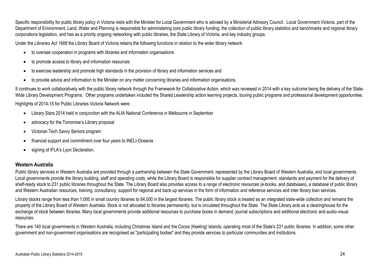Specific responsibility for public library policy in Victoria rests with the Minister for Local Government who is advised by a Ministerial Advisory Council. Local Government Victoria, part of the Department of Environment, Land, Water and Planning is responsible for administering core public library funding, the collection of public library statistics and benchmarks and regional library corporations legislation, and has as a priority ongoing networking with public libraries, the State Library of Victoria, and key industry groups.

Under the *Libraries Act 1988* the Library Board of Victoria retains the following functions in relation to the wider library network:

- to oversee cooperation in programs with libraries and information organisations
- to promote access to library and information resources
- to exercise leadership and promote high standards in the provision of library and information services and
- to provide advice and information to the Minister on any matter concerning libraries and information organisations.

It continues to work collaboratively with the public library network through the Framework for Collaborative Action, which was reviewed in 2014 with a key outcome being the delivery of the State-Wide Library Development Programs. Other programs undertaken included the Shared Leadership action learning projects, touring public programs and professional development opportunities.

Highlights of 2014-15 for Public Libraries Victoria Network were:

- Library Stars 2014 held in conjunction with the ALIA National Conference in Melbourne in September
- advocacy for the Tomorrow's Library proposal
- Victorian Tech Savvy Seniors program
- financial support and commitment over four years to INELI-Oceania
- signing of IFLA's Lyon Declaration.

#### **Western Australia**

Public library services in Western Australia are provided through a partnership between the State Government, represented by the Library Board of Western Australia, and local governments. Local governments provide the library building, staff and operating costs, while the Library Board is responsible for supplier contract management, standards and payment for the delivery of shelf-ready stock to 231 public libraries throughout the State. The Library Board also provides access to a range of electronic resources (e-books, and databases), a database of public library and Western Australian resources, training, consultancy, support for regional and back-up services in the form of information and reference services and inter library loan services.

Library stocks range from less than 1,000 in small country libraries to 64,000 in the largest libraries. The public library stock is treated as an integrated state-wide collection and remains the property of the Library Board of Western Australia. Stock is not allocated to libraries permanently, but is circulated throughout the State. The State Library acts as a clearinghouse for the exchange of stock between libraries. Many local governments provide additional resources to purchase books in demand, journal subscriptions and additional electronic and audio-visual resources.

There are 140 local governments in Western Australia, including Christmas Island and the Cocos (Keeling) Islands, operating most of the State's 231 public libraries. In addition, some other government and non-government organisations are recognised as "participating bodies" and they provide services to particular communities and institutions.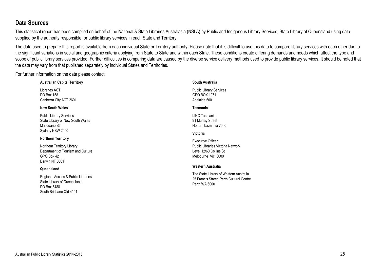# **Data Sources**

This statistical report has been compiled on behalf of the National & State Libraries Australasia (NSLA) by Public and Indigenous Library Services, State Library of Queensland using data supplied by the authority responsible for public library services in each State and Territory.

The data used to prepare this report is available from each individual State or Territory authority. Please note that it is difficult to use this data to compare library services with each other due to the significant variations in social and geographic criteria applying from State to State and within each State. These conditions create differing demands and needs which affect the type and scope of public library services provided. Further difficulties in comparing data are caused by the diverse service delivery methods used to provide public library services. It should be noted that the data may vary from that published separately by individual States and Territories.

For further information on the data please contact:

| <b>Australian Capital Territory</b>                                                                         | South Australia                                                                                     |
|-------------------------------------------------------------------------------------------------------------|-----------------------------------------------------------------------------------------------------|
| Libraries ACT<br>PO Box 158<br>Canberra City ACT 2601                                                       | <b>Public Library Services</b><br>GPO BOX 1971<br>Adelaide 5001                                     |
| <b>New South Wales</b>                                                                                      | Tasmania                                                                                            |
| <b>Public Library Services</b><br>State Library of New South Wales<br>Macquarie St                          | LINC Tasmania<br>91 Murray Street<br>Hobart Tasmania 7000                                           |
| Sydney NSW 2000                                                                                             | Victoria                                                                                            |
| <b>Northern Territory</b>                                                                                   | <b>Executive Officer</b>                                                                            |
| Northern Territory Library<br>Department of Tourism and Culture<br>GPO Box 42<br>Darwin NT 0801             | Public Libraries Victoria Network<br>Level 12/60 Collins St<br>Melbourne Vic 3000                   |
| Queensland                                                                                                  | Western Australia                                                                                   |
| Regional Access & Public Libraries<br>State Library of Queensland<br>PO Box 3488<br>South Brisbane Qld 4101 | The State Library of Western Australia<br>25 Francis Street, Perth Cultural Centre<br>Perth WA 6000 |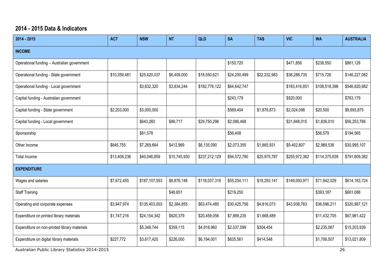# **2014 - 2015 Data & Indicators**

| $2014 - 2015$                                | <b>ACT</b>   | <b>NSW</b>    | <b>NT</b>    | <b>QLD</b>    | <b>SA</b>    | <b>TAS</b>   | <b>VIC</b>    | <b>WA</b>     | <b>AUSTRALIA</b> |
|----------------------------------------------|--------------|---------------|--------------|---------------|--------------|--------------|---------------|---------------|------------------|
| <b>INCOME</b>                                |              |               |              |               |              |              |               |               |                  |
| Operational funding - Australian government  |              |               |              |               | \$150,720    |              | \$471,856     | \$238,550     | \$861,126        |
| Operational funding - State government       | \$10,359,481 | \$25,420,037  | \$6,409,000  | \$18,550,621  | \$24,250,499 | \$22,232,983 | \$38,288,735  | \$715,726     | \$146,227,082    |
| Operational funding - Local government       |              | \$3,632,320   | \$3,834,244  | \$182,776,122 | \$64,642,747 |              | \$183,416,851 | \$108,518,398 | \$546,820,682    |
| Captial funding - Australian government      |              |               |              |               | \$243,179    |              | \$520,000     |               | \$763,179        |
| Captial funding - State government           | \$2,203,000  | \$3,000,000   |              |               | \$569,404    | \$1,876,873  | \$2,024,098   | \$20,500      | \$9,693,875      |
| Capital funding - Local government           |              | \$643,260     | \$89,717     | \$29,750,296  | \$2,086,468  |              | \$21,848,015  | \$1,836,010   | \$56,253,766     |
| Sponsorship                                  |              | \$81,578      |              |               | \$56,408     |              |               | \$56,579      | \$194,565        |
| Other Income                                 | \$845,755    | \$7,269,664   | \$412,969    | \$6,135,090   | \$2,073,355  | \$1,865,931  | \$9,402,807   | \$2,989,536   | \$30,995,107     |
| Total Income                                 | \$13,408,236 | \$40,046,859  | \$10,745,930 | \$237,212,129 | \$94,072,780 | \$25,975,787 | \$255,972,362 | \$114,375,839 | \$791,809,382    |
| <b>EXPENDITURE</b>                           |              |               |              |               |              |              |               |               |                  |
| Wages and salaries                           | \$7,672,455  | \$187,107,553 | \$6,876,148  | \$118,037,316 | \$55,254,111 | \$18,293,141 | \$149,000,971 | \$71,942,029  | \$614,183,724    |
| <b>Staff Training</b>                        |              |               | \$48,651     |               | \$219,250    |              |               | \$393,187     | \$661,088        |
| Operating and corporate expenses             | \$3,947,974  | \$135,403,003 | \$2,384,855  | \$63,474,485  | \$30,425,756 | \$4,816,073  | \$43,938,763  | \$36,596,211  | \$320,987,121    |
| Expenditure on printed library materials     | \$1,747,216  | \$24,154,342  | \$620,379    | \$20,459,056  | \$7,899,235  | \$1,668,489  |               | \$11,432,705  | \$67,981,422     |
| Expenditure on non-printed library materials |              | \$5,348,744   | \$359,115    | \$4,918,960   | \$2,037,599  | \$304,454    |               | \$2,235,067   | \$15,203,939     |
| Expenditure on digital library materials     | \$227,772    | \$3,617,420   | \$226,000    | \$6,194,001   | \$635,561    | \$414,548    |               | \$1,706,507   | \$13,021,809     |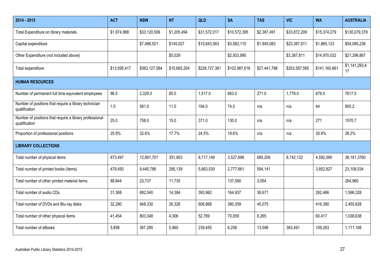| 2014 - 2015                                                              | <b>ACT</b>   | <b>NSW</b>    | <b>NT</b>    | QLD           | <b>SA</b>     | <b>TAS</b>   | <b>VIC</b>    | <b>WA</b>     | <b>AUSTRALIA</b>    |
|--------------------------------------------------------------------------|--------------|---------------|--------------|---------------|---------------|--------------|---------------|---------------|---------------------|
| Total Expenditure on library materials                                   | \$1,974,988  | \$33,120,506  | \$1,205,494  | \$31,572,017  | \$10,572,395  | \$2,387,491  | \$33,872,209  | \$15,374,279  | \$130,079,379       |
| Capital expenditure                                                      |              | \$7,496,521   | \$145,027    | \$15,643,563  | \$3,582,110   | \$1,945,083  | \$23,387,811  | \$1,885,123   | \$54,085,238        |
| Other Expenditure (not included above)                                   |              |               | \$5,029      |               | \$2,933,995   |              | \$3,387,811   | \$14,970,032  | \$21,296,867        |
| Total expenditure                                                        | \$13,595,417 | \$363,127,584 | \$10,665,204 | \$228,727,381 | \$102,987,616 | \$27,441,788 | \$253,587,565 | \$141,160,861 | \$1,141,293,4<br>17 |
| <b>HUMAN RESOURCES</b>                                                   |              |               |              |               |               |              |               |               |                     |
| Number of permanent full time equivalent employees                       | 96.5         | 2,329.0       | 85.0         | 1,517.0       | 663.0         | 271.0        | 1,778.0       | 879.0         | 7617.5              |
| Number of positions that require a library technician<br>qualification   | 1.0          | 581.0         | 11.0         | 194.0         | 74.0          | n/a          | n/a           | 44            | 905.2               |
| Number of positions that require a library professional<br>qualification | 25.0         | 758.0         | 15.0         | 371.0         | 130.0         | n/a          | n/a           | 271           | 1570.7              |
| Proportion of professional positions                                     | 25.9%        | 32.6%         | 17.7%        | 24.5%         | 19.6%         | n/a          | n/a           | 30.9%         | 28.2%               |
| <b>LIBRARY COLLECTIONS</b>                                               |              |               |              |               |               |              |               |               |                     |
| Total number of physical items                                           | 673,497      | 12,891,701    | 351,903      | 6,717,149     | 3,527,698     | 685,206      | 8,742,132     | 4,592,090     | 38,181,3760         |
| Total number of printed books (items)                                    | 479,450      | 9,445,786     | 295,139      | 5,663,530     | 2,777,661     | 594,141      |               | 3,852,827     | 23,108,534          |
| Total number of other printed material items.                            | 88,844       | 23,737        | 11,735       |               | 137,590       | 3,054        |               |               | 264,960             |
| Total number of audio CDs                                                | 31,368       | 692,540       | 14,384       | 393,962       | 164,937       | 36,671       |               | 262,466       | 1,596,328           |
| Total number of DVDs and Blu-ray disks                                   | 32,290       | 948,330       | 26,326       | 606,868       | 380,359       | 45,075       |               | 416,380       | 2,455,628           |
| Total number of other physical items                                     | 41,454       | 803,348       | 4,306        | 52,789        | 70,059        | 6,265        |               | 60,417        | 1,038,638           |
| Total number of eBooks                                                   | 5,858        | 367,285       | 5,960        | 239,455       | 6,258         | 13,598       | 363,491       | 109,263       | 1,111,168           |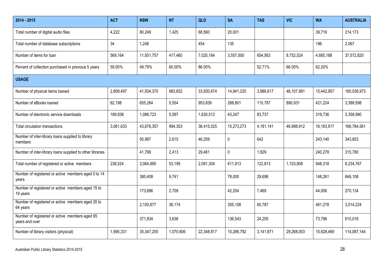| 2014 - 2015                                                      | <b>ACT</b> | <b>NSW</b>   | <b>NT</b> | QLD        | <b>SA</b>  | <b>TAS</b> | <b>VIC</b> | <b>WA</b>  | <b>AUSTRALIA</b> |
|------------------------------------------------------------------|------------|--------------|-----------|------------|------------|------------|------------|------------|------------------|
| Total number of digital audio files                              | 4,222      | 80,249       | 1,425     | 68,560     | 20,001     |            |            | 39,716     | 214,173          |
| Total number of database subscriptions                           | 34         | 1,248        |           | 454        | 135        |            |            | 196        | 2,067            |
| Number of items for loan                                         | 569,164    | 11,931,757   | 417,460   | 7,025,164  | 3,557,000  | 654,563    | 8,752,524  | 4,665,188  | 37,572,820       |
| Percent of collection purchased in previous 5 years              | 59.00%     | 49.79%       | 60.00%    | 86.00%     |            | 52.71%     | 66.00%     | 62.20%     |                  |
| <b>USAGE</b>                                                     |            |              |           |            |            |            |            |            |                  |
| Number of physical items loaned                                  | 2,809,497  | 41,934,370   | 983,652   | 33,830,674 | 14,941,225 | 3,986,617  | 46,107,981 | 15,442,957 | 160,036,973      |
| Number of eBooks loaned                                          | 62,198     | 655,264      | 5,554     | 953,839    | 288,801    | 110,787    | 890,931    | 421,224    | 3,388,598        |
| Number of electronic service downloads                           | 189,938    | 1,086,723    | 5,097     | 1,630,512  | 43,247     | 83,737     |            | 319,736    | 3,358,990        |
| <b>Total circulation transactions</b>                            | 3,061,633  | 43,676,357   | 994,303   | 36,415,025 | 15,273,273 | 4,181,141  | 46,998,912 | 16,183,917 | 166,784,561      |
| Number of inter-library loans supplied to library<br>members     |            | 50,997       | 2,615     | 46,259     | 0          | 642        |            | 243,140    | 343,653          |
| Number of inter-library loans supplied to other libraries        |            | 41,799       | 2,413     | 29,461     | 0          | 1,829      |            | 240,278    | 315,780          |
| Total number of registered or active members                     | 238,524    | 3,064,890    | 53,199    | 2,091,304  | 611,913    | 122,813    | 1,103,806  | 948,318    | 8,234,767        |
| Number of registered or active members aged 0 to 14<br>years     |            | 380,408      | 9,741     |            | 78,000     | 29,698     |            | 148,261    | 646,108          |
| Number of registered or active members aged 15 to<br>19 years    |            | 173,696      | 2,709     |            | 42,254     | 7,469      |            | 44,006     | 270,134          |
| Number of registered or active members aged 20 to<br>64 years    |            | 2,100,877    | 36,174    |            | 355,108    | 60,787     |            | 461,278    | 3,014,224        |
| Number of registered or active members aged 65<br>years and over |            | 371,834      | 3,638     |            | 136,543    | 24,205     |            | 73,796     | 610,016          |
| Number of library visitors (physical)                            | 1,995,331  | 35, 347, 255 | 1,070,606 | 22,348,817 | 10,286,792 | 3,141,871  | 29,268,003 | 10,628,469 | 114,087,144      |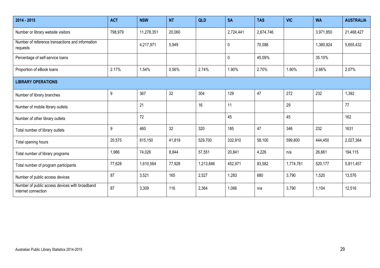| 2014 - 2015                                                           | <b>ACT</b> | <b>NSW</b> | <b>NT</b> | QLD       | <b>SA</b> | <b>TAS</b> | <b>VIC</b> | <b>WA</b> | <b>AUSTRALIA</b> |
|-----------------------------------------------------------------------|------------|------------|-----------|-----------|-----------|------------|------------|-----------|------------------|
| Number or library website visitors                                    | 798,979    | 11,278,351 | 20,060    |           | 2,724,441 | 2,674,746  |            | 3,971,850 | 21,468,427       |
| Number of reference transactions and information<br>requests          |            | 4,217,971  | 5,949     |           | 0         | 70,588     |            | 1,360,924 | 5,655,432        |
| Percentage of self-service loans                                      |            |            |           |           | $\pmb{0}$ | 45.09%     |            | 35.10%    |                  |
| Proportion of eBook loans                                             | 2.17%      | 1.54%      | 0.56%     | 2.74%     | 1.90%     | 2.70%      | 1.90%      | 2.66%     | 2.07%            |
| <b>LIBRARY OPERATIONS</b>                                             |            |            |           |           |           |            |            |           |                  |
| Number of library branches                                            | 9          | 367        | 32        | 304       | 129       | 47         | 272        | 232       | 1,392            |
| Number of mobile library outlets                                      |            | 21         |           | 16        | 11        |            | 29         |           | 77               |
| Number of other library outlets                                       |            | 72         |           |           | 45        |            | 45         |           | 162              |
| Total number of library outlets                                       | 9          | 460        | 32        | 320       | 185       | 47         | 346        | 232       | 1631             |
| Total opening hours                                                   | 20,575     | 815,150    | 41,819    | 529,700   | 332,910   | 58,100     | 599,800    | 444,450   | 2,027,364        |
| Total number of library programs                                      | 1,966      | 74,026     | 8,844     | 57,551    | 20,841    | 4,226      | n/a        | 26,661    | 194,115          |
| Total number of program participants                                  | 77,628     | 1,610,564  | 77,928    | 1,213,846 | 452,971   | 83,582     | 1,774,761  | 520,177   | 5,811,457        |
| Number of public access devices                                       | 87         | 3,521      | 165       | 2,527     | 1,283     | 680        | 3,790      | 1,520     | 13,576           |
| Number of public access devices with broadband<br>internet connection | 87         | 3,309      | 116       | 2,364     | 1,066     | n/a        | 3,790      | 1,104     | 12,516           |